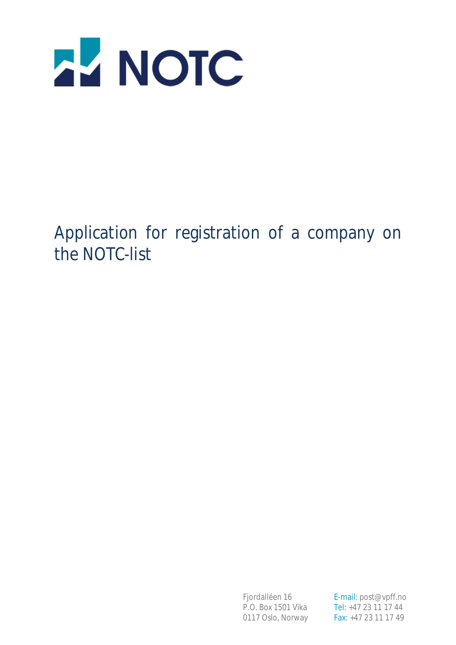

Application for registration of a company on the NOTC-list

P.O. Box 1501 Vika Tel: +47 23 11 17 44

Fjordalléen 16 **E-mail:** post@vpff.no 0117 Oslo, Norway Fax: +47 23 11 17 49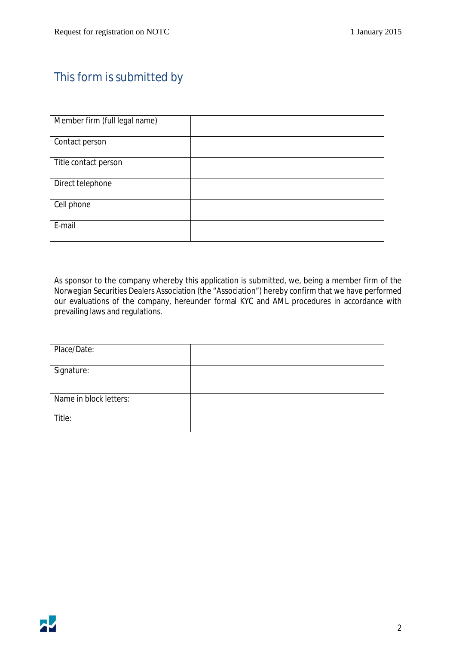### This form is submitted by

| Member firm (full legal name) |  |
|-------------------------------|--|
| Contact person                |  |
| Title contact person          |  |
| Direct telephone              |  |
| Cell phone                    |  |
| E-mail                        |  |

As sponsor to the company whereby this application is submitted, we, being a member firm of the Norwegian Securities Dealers Association (the "Association") hereby confirm that we have performed our evaluations of the company, hereunder formal KYC and AML procedures in accordance with prevailing laws and regulations.

| Place/Date:            |  |
|------------------------|--|
| Signature:             |  |
| Name in block letters: |  |
| Title:                 |  |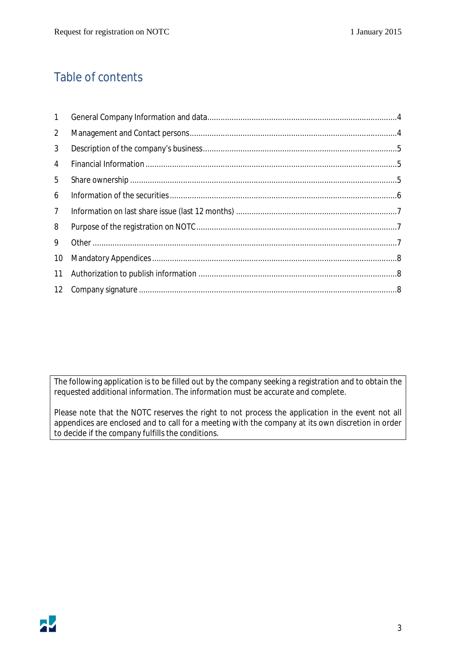### Table of contents

| $\mathbf{1}$   |  |
|----------------|--|
| 2              |  |
| 3              |  |
| 4              |  |
| 5              |  |
| 6              |  |
| $\overline{7}$ |  |
| 8              |  |
| 9              |  |
| 10             |  |
| 11             |  |
| 12             |  |

The following application is to be filled out by the company seeking a registration and to obtain the requested additional information. The information must be accurate and complete.

Please note that the NOTC reserves the right to not process the application in the event not all appendices are enclosed and to call for a meeting with the company at its own discretion in order to decide if the company fulfills the conditions.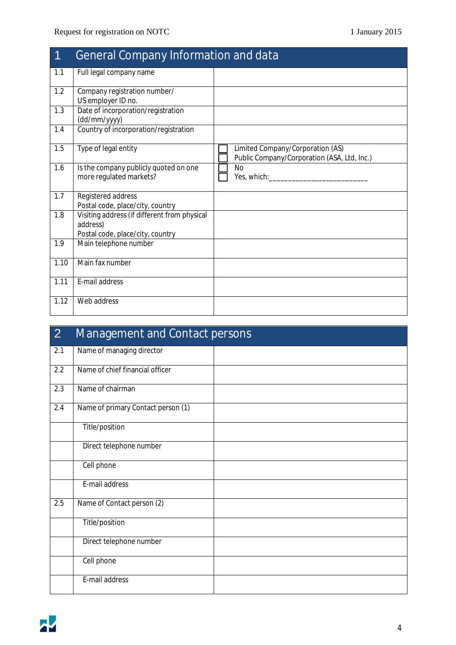| $\overline{\mathbf{1}}$ | <b>General Company Information and data</b>                                                  |                                                                                 |
|-------------------------|----------------------------------------------------------------------------------------------|---------------------------------------------------------------------------------|
| 1.1                     | Full legal company name                                                                      |                                                                                 |
| 1.2                     | Company registration number/<br>US employer ID no.                                           |                                                                                 |
| 1.3                     | Date of incorporation/registration<br>(dd/mm/yyyy)                                           |                                                                                 |
| 1.4                     | Country of incorporation/registration                                                        |                                                                                 |
| 1.5                     | Type of legal entity                                                                         | Limited Company/Corporation (AS)<br>Public Company/Corporation (ASA, Ltd, Inc.) |
| 1.6                     | Is the company publicly quoted on one<br>more regulated markets?                             | <b>No</b><br>Yes, which: Ves, which:                                            |
| 1.7                     | Registered address<br>Postal code, place/city, country                                       |                                                                                 |
| 1.8                     | Visiting address (if different from physical<br>address)<br>Postal code, place/city, country |                                                                                 |
| 1.9                     | Main telephone number                                                                        |                                                                                 |
| 1.10                    | Main fax number                                                                              |                                                                                 |
| 1.11                    | E-mail address                                                                               |                                                                                 |
| 1.12                    | Web address                                                                                  |                                                                                 |

| $\overline{2}$ | <b>Management and Contact persons</b> |  |
|----------------|---------------------------------------|--|
| 2.1            | Name of managing director             |  |
| 2.2            | Name of chief financial officer       |  |
| 2.3            | Name of chairman                      |  |
| 2.4            | Name of primary Contact person (1)    |  |
|                | Title/position                        |  |
|                | Direct telephone number               |  |
|                | Cell phone                            |  |
|                | E-mail address                        |  |
| 2.5            | Name of Contact person (2)            |  |
|                | Title/position                        |  |
|                | Direct telephone number               |  |
|                | Cell phone                            |  |
|                | E-mail address                        |  |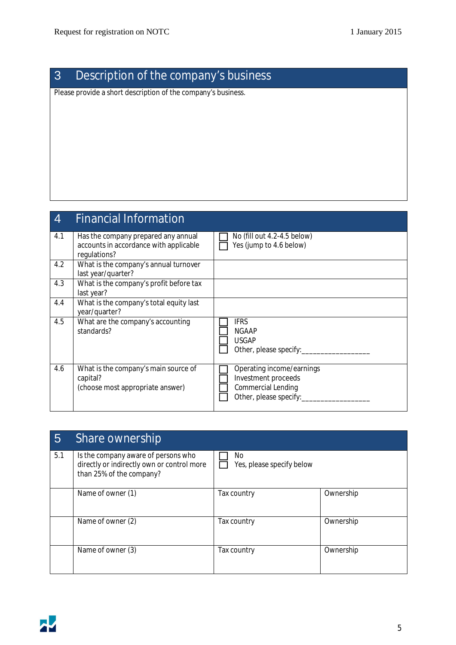## 3 Description of the company's business

Please provide a short description of the company's business.

# 4 Financial Information

| 4.1 | Has the company prepared any annual<br>accounts in accordance with applicable | No (fill out 4.2-4.5 below)<br>Yes (jump to 4.6 below) |
|-----|-------------------------------------------------------------------------------|--------------------------------------------------------|
|     | regulations?                                                                  |                                                        |
| 4.2 | What is the company's annual turnover                                         |                                                        |
|     | last year/quarter?                                                            |                                                        |
| 4.3 | What is the company's profit before tax                                       |                                                        |
|     | last year?                                                                    |                                                        |
| 4.4 | What is the company's total equity last                                       |                                                        |
|     | year/quarter?                                                                 |                                                        |
| 4.5 | What are the company's accounting                                             | <b>IFRS</b>                                            |
|     | standards?                                                                    | <b>NGAAP</b>                                           |
|     |                                                                               | <b>USGAP</b>                                           |
|     |                                                                               | Other, please specify:                                 |
|     |                                                                               |                                                        |
| 4.6 | What is the company's main source of                                          | Operating income/earnings                              |
|     | capital?                                                                      | Investment proceeds                                    |
|     | (choose most appropriate answer)                                              | Commercial Lending                                     |
|     |                                                                               | Other, please specify:                                 |
|     |                                                                               |                                                        |

| 5   | <b>Share ownership</b>                                                                                        |                                  |           |
|-----|---------------------------------------------------------------------------------------------------------------|----------------------------------|-----------|
| 5.1 | Is the company aware of persons who<br>directly or indirectly own or control more<br>than 25% of the company? | No.<br>Yes, please specify below |           |
|     | Name of owner (1)                                                                                             | Tax country                      | Ownership |
|     | Name of owner (2)                                                                                             | Tax country                      | Ownership |
|     | Name of owner (3)                                                                                             | Tax country                      | Ownership |

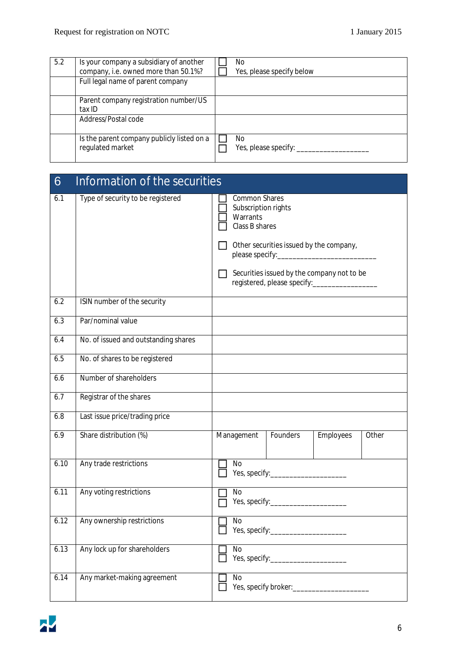| 5.2 | Is your company a subsidiary of another<br>company, i.e. owned more than 50.1%? | No.<br>Yes, please specify below |
|-----|---------------------------------------------------------------------------------|----------------------------------|
|     | Full legal name of parent company                                               |                                  |
|     | Parent company registration number/US<br>tax ID                                 |                                  |
|     | Address/Postal code                                                             |                                  |
|     | Is the parent company publicly listed on a<br>regulated market                  | No.<br>Yes, please specify:      |

| 6    | Information of the securities        |                                                                                                                                                                                                                     |
|------|--------------------------------------|---------------------------------------------------------------------------------------------------------------------------------------------------------------------------------------------------------------------|
| 6.1  | Type of security to be registered    | <b>Common Shares</b><br>Subscription rights<br>Warrants<br>Class B shares<br>Other securities issued by the company,<br>Securities issued by the company not to be<br>registered, please specify:__________________ |
| 6.2  | ISIN number of the security          |                                                                                                                                                                                                                     |
| 6.3  | Par/nominal value                    |                                                                                                                                                                                                                     |
| 6.4  | No. of issued and outstanding shares |                                                                                                                                                                                                                     |
| 6.5  | No. of shares to be registered       |                                                                                                                                                                                                                     |
| 6.6  | Number of shareholders               |                                                                                                                                                                                                                     |
| 6.7  | Registrar of the shares              |                                                                                                                                                                                                                     |
| 6.8  | Last issue price/trading price       |                                                                                                                                                                                                                     |
| 6.9  | Share distribution (%)               | Management<br>Founders<br>Employees<br>Other                                                                                                                                                                        |
| 6.10 | Any trade restrictions               | No                                                                                                                                                                                                                  |
| 6.11 | Any voting restrictions              | <b>No</b>                                                                                                                                                                                                           |
| 6.12 | Any ownership restrictions           | <b>No</b>                                                                                                                                                                                                           |
| 6.13 | Any lock up for shareholders         | No                                                                                                                                                                                                                  |
| 6.14 | Any market-making agreement          | No                                                                                                                                                                                                                  |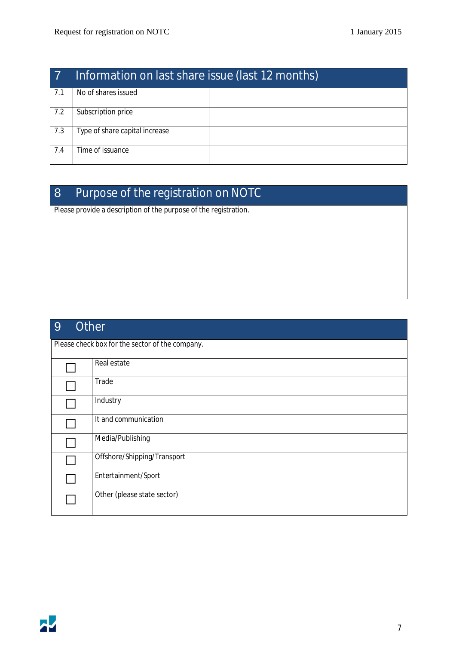| $\overline{7}$ | Information on last share issue (last 12 months) |  |
|----------------|--------------------------------------------------|--|
| 7.1            | No of shares issued                              |  |
| 7.2            | Subscription price                               |  |
| 7.3            | Type of share capital increase                   |  |
| 7.4            | Time of issuance                                 |  |

## 8 Purpose of the registration on NOTC

Please provide a description of the purpose of the registration.

| <b>Other</b><br>9 |                                                 |  |
|-------------------|-------------------------------------------------|--|
|                   | Please check box for the sector of the company. |  |
|                   | Real estate                                     |  |
|                   | Trade                                           |  |
|                   | Industry                                        |  |
|                   | It and communication                            |  |
|                   | Media/Publishing                                |  |
|                   | Offshore/Shipping/Transport                     |  |
|                   | Entertainment/Sport                             |  |
|                   | Other (please state sector)                     |  |